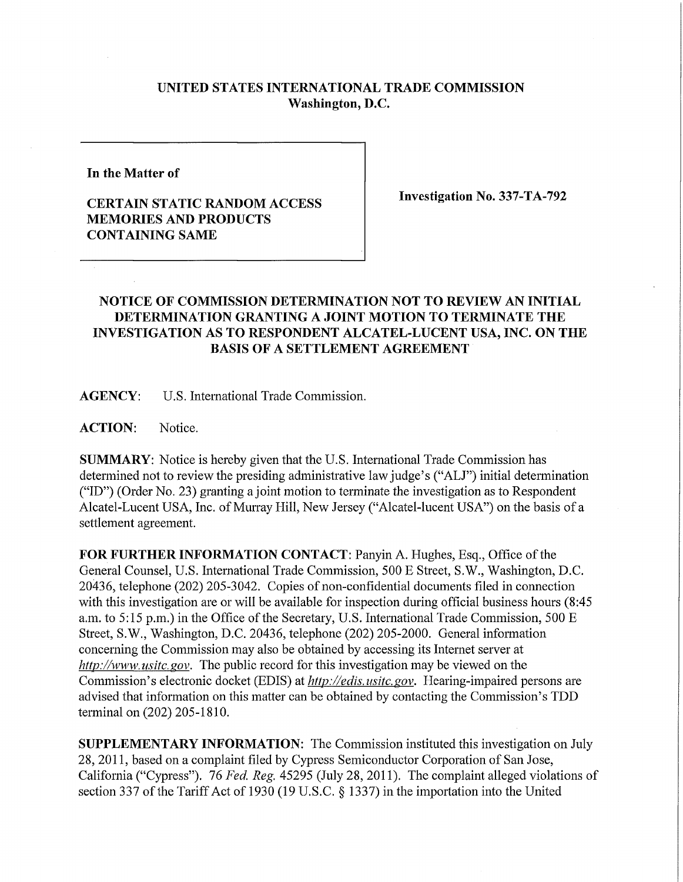## **UNITED STATES INTERNATIONAL TRADE COMMISSION Washington, D.C.**

**In the Matter of** 

## **CERTAIN STATIC RANDOM ACCESS MEMORIES AND PRODUCTS CONTAINING SAME**

**Investigation No. 337-TA-792** 

## **NOTICE OF COMMISSION DETERMINATION NOT TO REVIEW AN INITIAL DETERMINATION GRANTING A JOINT MOTION TO TERMINATE THE INVESTIGATION AS TO RESPONDENT ALCATEL-LUCENT USA, INC. ON THE BASIS OF A SETTLEMENT AGREEMENT**

**AGENCY:** U.S. Intemational Trade Commission.

**ACTION:** Notice.

**SUMMARY:** Notice is hereby given that the U.S. International Trade Commission has determined not to review the presiding administrative law judge's ("ALJ") initial determination ("ID") (Order No. 23) granting a joint motion to terminate the investigation as to Respondent Alcatel-Lucent USA, Inc. of Murray Hill, New Jersey ("Alcatel-lucent USA") on the basis of a settlement agreement.

FOR FURTHER INFORMATION CONTACT: Panyin A. Hughes, Esq., Office of the General Counsel, U.S. International Trade Commission, 500 E Street, S.W., Washington, D.C. 20436, telephone (202) 205-3042. Copies of non-confidential documents filed in connection with this investigation are or will be available for inspection during official business hours (8:45) a.m. to 5:15 p.m.) in the Office of the Secretary, U.S. International Trade Commission, 500  $E$ Street, S.W., Washington, D.C. 20436, telephone (202) 205-2000. General information concerning the Commission may also be obtained by accessing its Internet server at *http://www. usitc. gov.* The public record for this investigation may be viewed on the Commission's electronic docket (EDIS) at *http://edis.usitc.gov.* Hearing-impaired persons are advised that information on this matter can be obtained by contacting the Commission's TDD terminal on (202) 205-1810.

**SUPPLEMENTARY INFORMATION:** The Commission instituted this investigation on July 28, 2011, based on a complaint filed by Cypress Semiconductor Corporation of San Jose, California ("Cypress"). 76 *Fed. Reg.* 45295 (July 28, 2011). The complaint alleged violations of section 337 of the Tariff Act of 1930 (19 U.S.C. § 1337) in the importation into the United